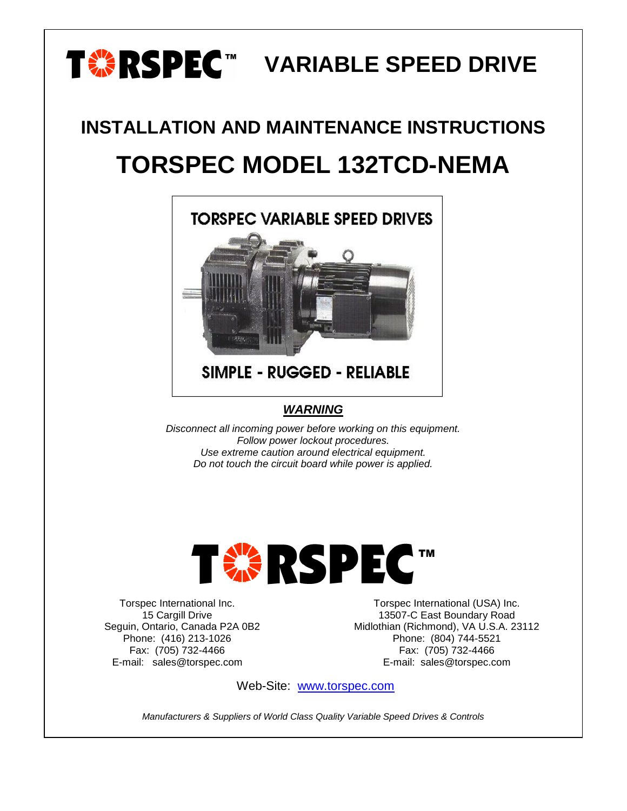# **TABLE SPEED DRIVE**

## **INSTALLATION AND MAINTENANCE INSTRUCTIONS TORSPEC MODEL 132TCD-NEMA**



**SIMPLE - RUGGED - RELIABLE** 

#### *WARNING*

*Disconnect all incoming power before working on this equipment. Follow power lockout procedures. Use extreme caution around electrical equipment. Do not touch the circuit board while power is applied.*



Torspec International Inc. 15 Cargill Drive Seguin, Ontario, Canada P2A 0B2 Phone: (416) 213-1026 Fax: (705) 732-4466 E-mail: sales@torspec.com

Torspec International (USA) Inc. 13507-C East Boundary Road Midlothian (Richmond), VA U.S.A. 23112 Phone: (804) 744-5521 Fax: (705) 732-4466 E-mail: sales@torspec.com

Web-Site: [www.torspec.com](http://www.torspec.com/)

*Manufacturers & Suppliers of World Class Quality Variable Speed Drives & Controls*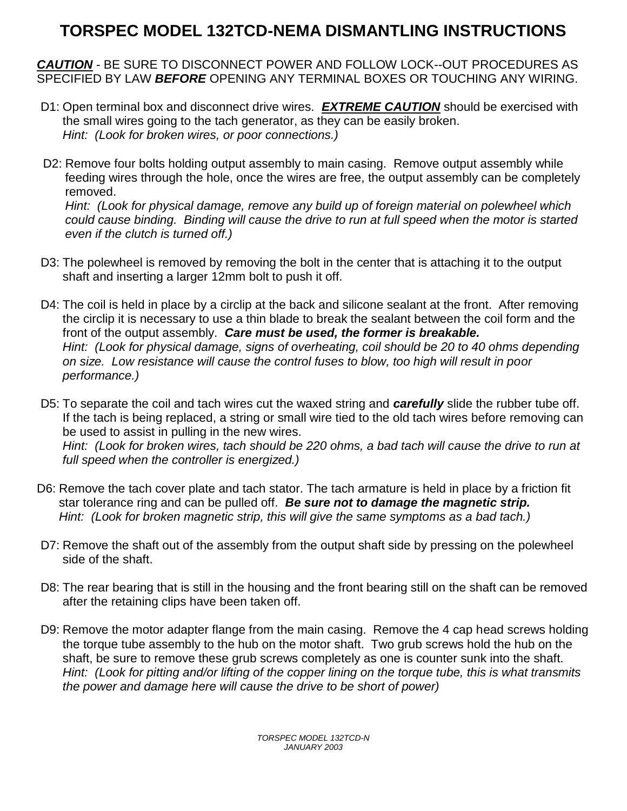### **TORSPEC MODEL 132TCD-NEMA DISMANTLING INSTRUCTIONS**

*CAUTION* - BE SURE TO DISCONNECT POWER AND FOLLOW LOCK--OUT PROCEDURES AS SPECIFIED BY LAW *BEFORE* OPENING ANY TERMINAL BOXES OR TOUCHING ANY WIRING.

- D1: Open terminal box and disconnect drive wires*. EXTREME CAUTION* should be exercised with the small wires going to the tach generator, as they can be easily broken. *Hint: (Look for broken wires, or poor connections.)*
- D2: Remove four bolts holding output assembly to main casing. Remove output assembly while feeding wires through the hole, once the wires are free, the output assembly can be completely removed.

*Hint: (Look for physical damage, remove any build up of foreign material on polewheel which could cause binding. Binding will cause the drive to run at full speed when the motor is started even if the clutch is turned off.)*

- D3: The polewheel is removed by removing the bolt in the center that is attaching it to the output shaft and inserting a larger 12mm bolt to push it off.
- D4: The coil is held in place by a circlip at the back and silicone sealant at the front. After removing the circlip it is necessary to use a thin blade to break the sealant between the coil form and the front of the output assembly. *Care must be used, the former is breakable. Hint: (Look for physical damage, signs of overheating, coil should be 20 to 40 ohms depending on size. Low resistance will cause the control fuses to blow, too high will result in poor performance.)*
- D5: To separate the coil and tach wires cut the waxed string and *carefully* slide the rubber tube off. If the tach is being replaced, a string or small wire tied to the old tach wires before removing can be used to assist in pulling in the new wires. *Hint: (Look for broken wires, tach should be 220 ohms, a bad tach will cause the drive to run at full speed when the controller is energized.)*
- D6: Remove the tach cover plate and tach stator. The tach armature is held in place by a friction fit star tolerance ring and can be pulled off. *Be sure not to damage the magnetic strip. Hint: (Look for broken magnetic strip, this will give the same symptoms as a bad tach.)*
- D7: Remove the shaft out of the assembly from the output shaft side by pressing on the polewheel side of the shaft.
- D8: The rear bearing that is still in the housing and the front bearing still on the shaft can be removed after the retaining clips have been taken off.
- D9: Remove the motor adapter flange from the main casing. Remove the 4 cap head screws holding the torque tube assembly to the hub on the motor shaft. Two grub screws hold the hub on the shaft, be sure to remove these grub screws completely as one is counter sunk into the shaft. *Hint: (Look for pitting and/or lifting of the copper lining on the torque tube, this is what transmits the power and damage here will cause the drive to be short of power)*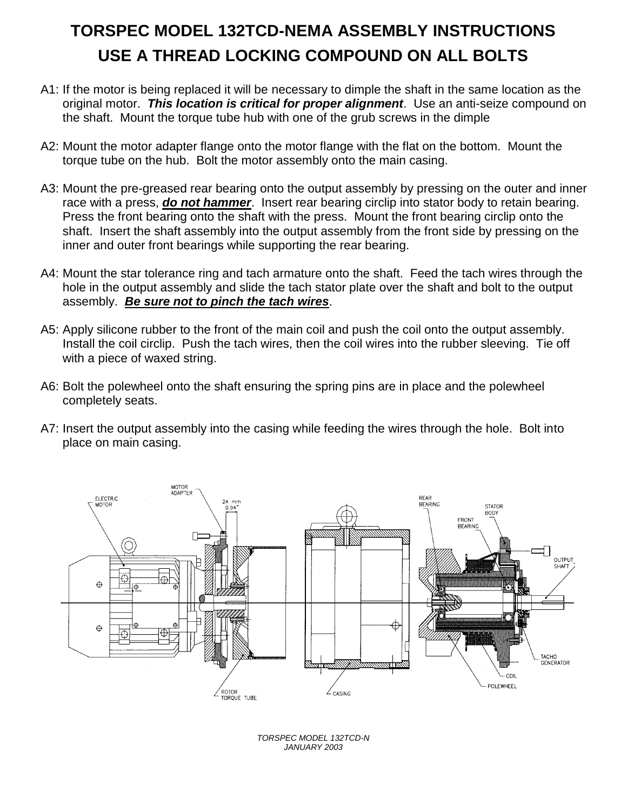## **TORSPEC MODEL 132TCD-NEMA ASSEMBLY INSTRUCTIONS USE A THREAD LOCKING COMPOUND ON ALL BOLTS**

- A1: If the motor is being replaced it will be necessary to dimple the shaft in the same location as the original motor. *This location is critical for proper alignment*. Use an anti-seize compound on the shaft. Mount the torque tube hub with one of the grub screws in the dimple
- A2: Mount the motor adapter flange onto the motor flange with the flat on the bottom. Mount the torque tube on the hub. Bolt the motor assembly onto the main casing.
- A3: Mount the pre-greased rear bearing onto the output assembly by pressing on the outer and inner race with a press, *do not hammer*. Insert rear bearing circlip into stator body to retain bearing. Press the front bearing onto the shaft with the press. Mount the front bearing circlip onto the shaft. Insert the shaft assembly into the output assembly from the front side by pressing on the inner and outer front bearings while supporting the rear bearing.
- A4: Mount the star tolerance ring and tach armature onto the shaft. Feed the tach wires through the hole in the output assembly and slide the tach stator plate over the shaft and bolt to the output assembly. *Be sure not to pinch the tach wires*.
- A5: Apply silicone rubber to the front of the main coil and push the coil onto the output assembly. Install the coil circlip. Push the tach wires, then the coil wires into the rubber sleeving. Tie off with a piece of waxed string.
- A6: Bolt the polewheel onto the shaft ensuring the spring pins are in place and the polewheel completely seats.
- A7: Insert the output assembly into the casing while feeding the wires through the hole. Bolt into place on main casing.



*TORSPEC MODEL 132TCD-N JANUARY 2003*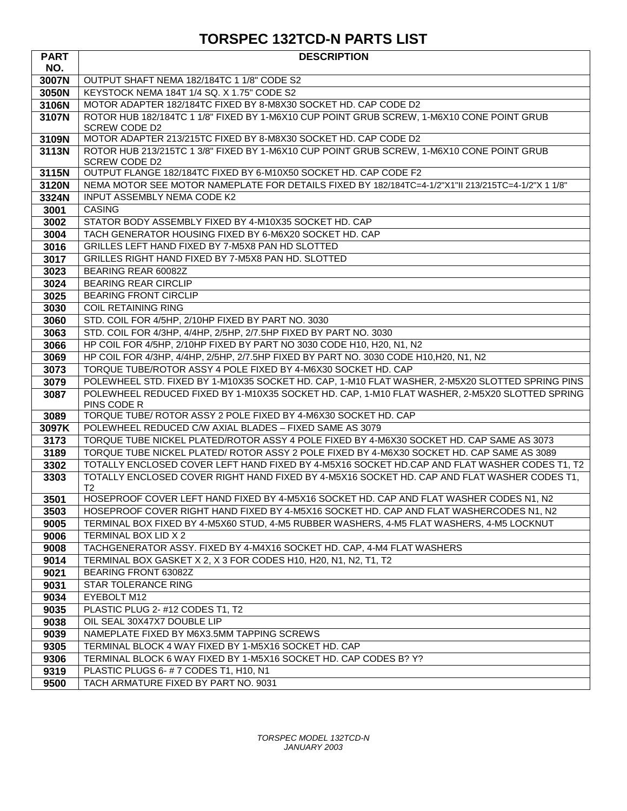#### **TORSPEC 132TCD-N PARTS LIST**

| <b>PART</b>  | <b>DESCRIPTION</b>                                                                                                      |
|--------------|-------------------------------------------------------------------------------------------------------------------------|
| NO.          |                                                                                                                         |
| 3007N        | OUTPUT SHAFT NEMA 182/184TC 1 1/8" CODE S2                                                                              |
| 3050N        | KEYSTOCK NEMA 184T 1/4 SQ. X 1.75" CODE S2                                                                              |
| 3106N        | MOTOR ADAPTER 182/184TC FIXED BY 8-M8X30 SOCKET HD. CAP CODE D2                                                         |
| 3107N        | ROTOR HUB 182/184TC 1 1/8" FIXED BY 1-M6X10 CUP POINT GRUB SCREW, 1-M6X10 CONE POINT GRUB<br><b>SCREW CODE D2</b>       |
| 3109N        | MOTOR ADAPTER 213/215TC FIXED BY 8-M8X30 SOCKET HD. CAP CODE D2                                                         |
| 3113N        | ROTOR HUB 213/215TC 1 3/8" FIXED BY 1-M6X10 CUP POINT GRUB SCREW, 1-M6X10 CONE POINT GRUB<br><b>SCREW CODE D2</b>       |
| 3115N        | OUTPUT FLANGE 182/184TC FIXED BY 6-M10X50 SOCKET HD. CAP CODE F2                                                        |
| 3120N        | NEMA MOTOR SEE MOTOR NAMEPLATE FOR DETAILS FIXED BY 182/184TC=4-1/2"X1"II 213/215TC=4-1/2"X 1 1/8"                      |
| 3324N        | <b>INPUT ASSEMBLY NEMA CODE K2</b>                                                                                      |
| 3001         | <b>CASING</b>                                                                                                           |
| 3002         | STATOR BODY ASSEMBLY FIXED BY 4-M10X35 SOCKET HD. CAP                                                                   |
| 3004         | TACH GENERATOR HOUSING FIXED BY 6-M6X20 SOCKET HD. CAP                                                                  |
| 3016         | GRILLES LEFT HAND FIXED BY 7-M5X8 PAN HD SLOTTED                                                                        |
| 3017         | GRILLES RIGHT HAND FIXED BY 7-M5X8 PAN HD. SLOTTED                                                                      |
| 3023         | BEARING REAR 60082Z                                                                                                     |
| 3024         | <b>BEARING REAR CIRCLIP</b>                                                                                             |
| 3025         | <b>BEARING FRONT CIRCLIP</b>                                                                                            |
| 3030         | <b>COIL RETAINING RING</b>                                                                                              |
| 3060         | STD. COIL FOR 4/5HP, 2/10HP FIXED BY PART NO. 3030<br>STD. COIL FOR 4/3HP, 4/4HP, 2/5HP, 2/7.5HP FIXED BY PART NO. 3030 |
| 3063         | HP COIL FOR 4/5HP, 2/10HP FIXED BY PART NO 3030 CODE H10, H20, N1, N2                                                   |
| 3066         | HP COIL FOR 4/3HP, 4/4HP, 2/5HP, 2/7.5HP FIXED BY PART NO. 3030 CODE H10, H20, N1, N2                                   |
| 3069<br>3073 | TORQUE TUBE/ROTOR ASSY 4 POLE FIXED BY 4-M6X30 SOCKET HD. CAP                                                           |
| 3079         | POLEWHEEL STD. FIXED BY 1-M10X35 SOCKET HD. CAP, 1-M10 FLAT WASHER, 2-M5X20 SLOTTED SPRING PINS                         |
| 3087         | POLEWHEEL REDUCED FIXED BY 1-M10X35 SOCKET HD. CAP, 1-M10 FLAT WASHER, 2-M5X20 SLOTTED SPRING                           |
|              | PINS CODE R                                                                                                             |
| 3089         | TORQUE TUBE/ ROTOR ASSY 2 POLE FIXED BY 4-M6X30 SOCKET HD. CAP                                                          |
| 3097K        | POLEWHEEL REDUCED C/W AXIAL BLADES - FIXED SAME AS 3079                                                                 |
| 3173         | TORQUE TUBE NICKEL PLATED/ROTOR ASSY 4 POLE FIXED BY 4-M6X30 SOCKET HD. CAP SAME AS 3073                                |
| 3189         | TORQUE TUBE NICKEL PLATED/ ROTOR ASSY 2 POLE FIXED BY 4-M6X30 SOCKET HD. CAP SAME AS 3089                               |
| 3302         | TOTALLY ENCLOSED COVER LEFT HAND FIXED BY 4-M5X16 SOCKET HD.CAP AND FLAT WASHER CODES T1, T2                            |
| 3303         | TOTALLY ENCLOSED COVER RIGHT HAND FIXED BY 4-M5X16 SOCKET HD. CAP AND FLAT WASHER CODES T1,<br>T <sub>2</sub>           |
| 3501         | HOSEPROOF COVER LEFT HAND FIXED BY 4-M5X16 SOCKET HD. CAP AND FLAT WASHER CODES N1, N2                                  |
| 3503         | HOSEPROOF COVER RIGHT HAND FIXED BY 4-M5X16 SOCKET HD. CAP AND FLAT WASHERCODES N1, N2                                  |
| 9005         | TERMINAL BOX FIXED BY 4-M5X60 STUD, 4-M5 RUBBER WASHERS, 4-M5 FLAT WASHERS, 4-M5 LOCKNUT                                |
| 9006         | TERMINAL BOX LID X 2                                                                                                    |
| 9008         | TACHGENERATOR ASSY. FIXED BY 4-M4X16 SOCKET HD. CAP, 4-M4 FLAT WASHERS                                                  |
| 9014         | TERMINAL BOX GASKET X 2, X 3 FOR CODES H10, H20, N1, N2, T1, T2                                                         |
| 9021         | BEARING FRONT 63082Z                                                                                                    |
| 9031         | STAR TOLERANCE RING                                                                                                     |
| 9034         | EYEBOLT M12                                                                                                             |
| 9035         | PLASTIC PLUG 2- #12 CODES T1, T2                                                                                        |
| 9038         | OIL SEAL 30X47X7 DOUBLE LIP                                                                                             |
| 9039         | NAMEPLATE FIXED BY M6X3.5MM TAPPING SCREWS                                                                              |
| 9305         | TERMINAL BLOCK 4 WAY FIXED BY 1-M5X16 SOCKET HD. CAP                                                                    |
| 9306         | TERMINAL BLOCK 6 WAY FIXED BY 1-M5X16 SOCKET HD. CAP CODES B? Y?                                                        |
| 9319         | PLASTIC PLUGS 6- #7 CODES T1, H10, N1                                                                                   |
| 9500         | TACH ARMATURE FIXED BY PART NO. 9031                                                                                    |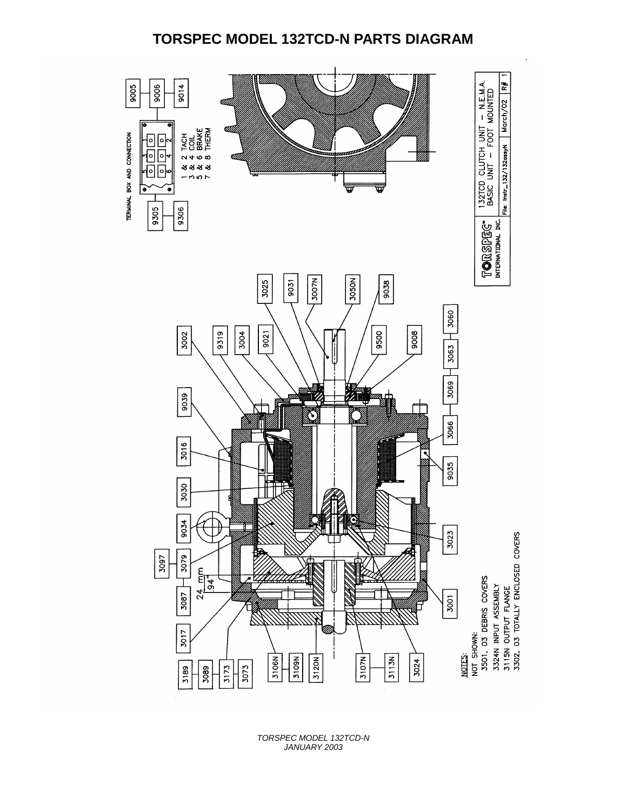#### **TORSPEC MODEL 132TCD-N PARTS DIAGRAM**



*TORSPEC MODEL 132TCD-N JANUARY 2003*